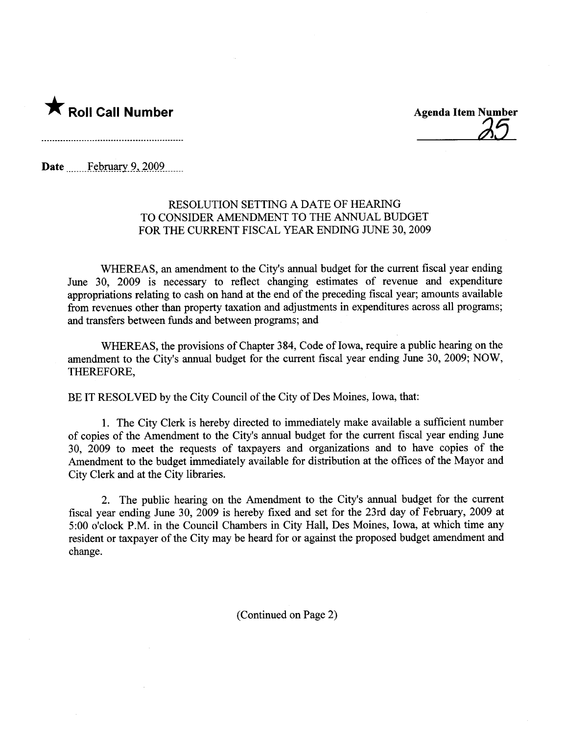

25

Date February  $9,2009$ .......

## RESOLUTION SETTING A DATE OF HEARING TO CONSIDER AMENDMENT TO THE ANNUAL BUDGET FOR THE CURRENT FISCAL YEAR ENDING JUNE 30, 2009

WHEREAS, an amendment to the City's anual budget for the curent fiscal year ending June 30, 2009 is necessary to reflect changing estimates of revenue and expenditure appropriations relating to cash on hand at the end of the preceding fiscal year; amounts available from revenues other than property taxation and adjustments in expenditures across all programs; and transfers between funds and between programs; and

WHEREAS, the provisions of Chapter 384, Code of Iowa, require a public hearing on the amendment to the City's anual budget for the curent fiscal year ending June 30, 2009; NOW, THEREFORE,

BE IT RESOLVED by the City Council of the City of Des Moines, Iowa, that:

1. The City Clerk is hereby directed to immediately make available a sufficient number of copies of the Amendment to the City's anual budget for the curent fiscal year ending June 30, 2009 to meet the requests of taxpayers and organizations and to have copies of the Amendment to the budget immediately available for distribution at the offices of the Mayor and City Clerk and at the City libraries.

2. The public hearing on the Amendment to the City's anual budget for the curent fiscal year ending June 30, 2009 is hereby fixed and set for the 23rd day of Februar, 2009 at 5:00 o'clock P.M. in the Council Chambers in City Hall, Des Moines, Iowa, at which time any resident or taxpayer of the City may be heard for or against the proposed budget amendment and change.

(Continued on Page 2)